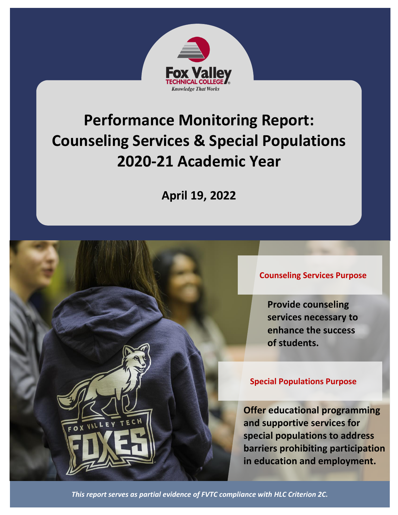

# **Performance Monitoring Report: Counseling Services & Special Populations 2020-21 Academic Year**

**April 19, 2022**

**Counseling Services Purpose**

**Provide counseling services necessary to enhance the success of students.**

#### **Special Populations Purpose**

**Offer educational programming and supportive services for special populations to address barriers prohibiting participation in education and employment.**

*This report serves as partial evidence of FVTC compliance with HLC Criterion 2C.*

OX VAL L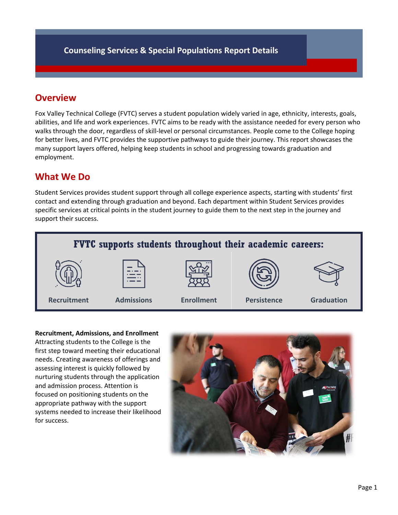## **Overview**

Fox Valley Technical College (FVTC) serves a student population widely varied in age, ethnicity, interests, goals, abilities, and life and work experiences. FVTC aims to be ready with the assistance needed for every person who walks through the door, regardless of skill-level or personal circumstances. People come to the College hoping for better lives, and FVTC provides the supportive pathways to guide their journey. This report showcases the many support layers offered, helping keep students in school and progressing towards graduation and employment.

## **What We Do**

Student Services provides student support through all college experience aspects, starting with students' first contact and extending through graduation and beyond. Each department within Student Services provides specific services at critical points in the student journey to guide them to the next step in the journey and support their success.



**Recruitment, Admissions, and Enrollment** Attracting students to the College is the first step toward meeting their educational

needs. Creating awareness of offerings and assessing interest is quickly followed by nurturing students through the application and admission process. Attention is focused on positioning students on the appropriate pathway with the support systems needed to increase their likelihood for success.

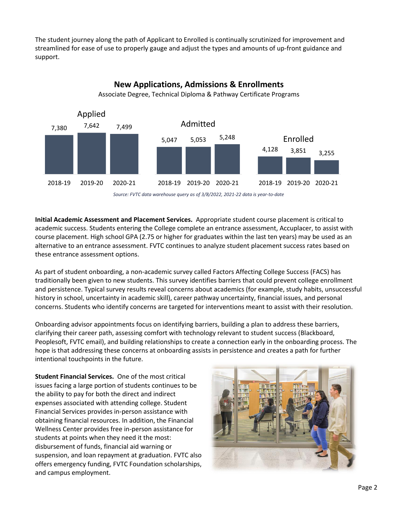The student journey along the path of Applicant to Enrolled is continually scrutinized for improvement and streamlined for ease of use to properly gauge and adjust the types and amounts of up-front guidance and support.



**New Applications, Admissions & Enrollments**

*Source: FVTC data warehouse query as of 3/8/2022, 2021-22 data is year-to-date*

**Initial Academic Assessment and Placement Services.** Appropriate student course placement is critical to academic success. Students entering the College complete an entrance assessment, Accuplacer, to assist with course placement. High school GPA (2.75 or higher for graduates within the last ten years) may be used as an alternative to an entrance assessment. FVTC continues to analyze student placement success rates based on these entrance assessment options.

As part of student onboarding, a non-academic survey called Factors Affecting College Success (FACS) has traditionally been given to new students. This survey identifies barriers that could prevent college enrollment and persistence. Typical survey results reveal concerns about academics (for example, study habits, unsuccessful history in school, uncertainty in academic skill), career pathway uncertainty, financial issues, and personal concerns. Students who identify concerns are targeted for interventions meant to assist with their resolution.

Onboarding advisor appointments focus on identifying barriers, building a plan to address these barriers, clarifying their career path, assessing comfort with technology relevant to student success (Blackboard, Peoplesoft, FVTC email), and building relationships to create a connection early in the onboarding process. The hope is that addressing these concerns at onboarding assists in persistence and creates a path for further intentional touchpoints in the future.

**Student Financial Services.** One of the most critical issues facing a large portion of students continues to be the ability to pay for both the direct and indirect expenses associated with attending college. Student Financial Services provides in-person assistance with obtaining financial resources. In addition, the Financial Wellness Center provides free in-person assistance for students at points when they need it the most: disbursement of funds, financial aid warning or suspension, and loan repayment at graduation. FVTC also offers emergency funding, FVTC Foundation scholarships, and campus employment.

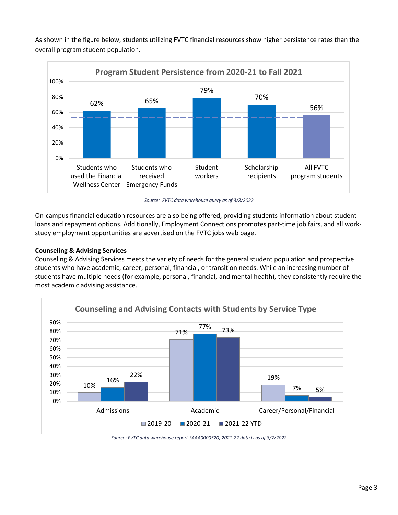As shown in the figure below, students utilizing FVTC financial resources show higher persistence rates than the overall program student population.



*Source: FVTC data warehouse query as of 3/8/2022*

On-campus financial education resources are also being offered, providing students information about student loans and repayment options. Additionally, Employment Connections promotes part-time job fairs, and all workstudy employment opportunities are advertised on the FVTC jobs web page.

#### **Counseling & Advising Services**

Counseling & Advising Services meets the variety of needs for the general student population and prospective students who have academic, career, personal, financial, or transition needs. While an increasing number of students have multiple needs (for example, personal, financial, and mental health), they consistently require the most academic advising assistance.



*Source: FVTC data warehouse report SAAA0000520; 2021-22 data is as of 3/7/2022*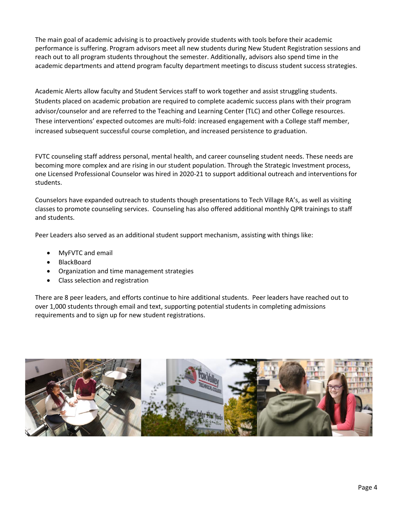The main goal of academic advising is to proactively provide students with tools before their academic performance is suffering. Program advisors meet all new students during New Student Registration sessions and reach out to all program students throughout the semester. Additionally, advisors also spend time in the academic departments and attend program faculty department meetings to discuss student success strategies.

Academic Alerts allow faculty and Student Services staff to work together and assist struggling students. Students placed on academic probation are required to complete academic success plans with their program advisor/counselor and are referred to the Teaching and Learning Center (TLC) and other College resources. These interventions' expected outcomes are multi-fold: increased engagement with a College staff member, increased subsequent successful course completion, and increased persistence to graduation.

FVTC counseling staff address personal, mental health, and career counseling student needs. These needs are becoming more complex and are rising in our student population. Through the Strategic Investment process, one Licensed Professional Counselor was hired in 2020-21 to support additional outreach and interventions for students.

Counselors have expanded outreach to students though presentations to Tech Village RA's, as well as visiting classes to promote counseling services. Counseling has also offered additional monthly QPR trainings to staff and students.

Peer Leaders also served as an additional student support mechanism, assisting with things like:

- MyFVTC and email
- BlackBoard
- Organization and time management strategies
- Class selection and registration

There are 8 peer leaders, and efforts continue to hire additional students. Peer leaders have reached out to over 1,000 students through email and text, supporting potential students in completing admissions requirements and to sign up for new student registrations.

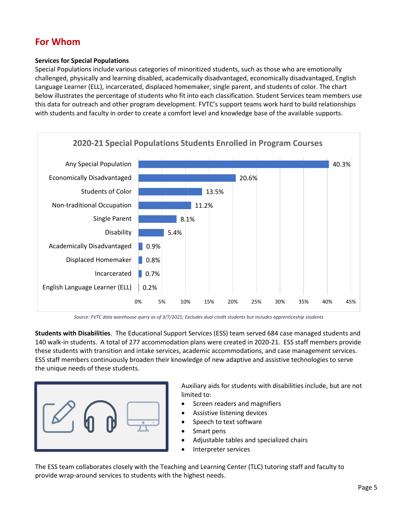## **For Whom**

#### **Services for Special Populations**

Special Populations include various categories of minoritized students, such as those who are emotionally challenged, physically and learning disabled, academically disadvantaged, economically disadvantaged, English Language Learner (ELL), incarcerated, displaced homemaker, single parent, and students of color. The chart below illustrates the percentage of students who fit into each classification. Student Services team members use this data for outreach and other program development. FVTC's support teams work hard to build relationships with students and faculty in order to create a comfort level and knowledge base of the available supports.



*Source: FVTC data warehouse query as of 3/7/2021; Excludes dual credit students but includes apprenticeship students*

**Students with Disabilities**. The Educational Support Services (ESS) team served 684 case managed students and 140 walk-in students. A total of 277 accommodation plans were created in 2020-21. ESS staff members provide these students with transition and intake services, academic accommodations, and case management services. ESS staff members continuously broaden their knowledge of new adaptive and assistive technologies to serve the unique needs of these students.



Auxiliary aids for students with disabilities include, but are not limited to:

- Screen readers and magnifiers
- Assistive listening devices
- Speech to text software
- Smart pens
- Adjustable tables and specialized chairs
- Interpreter services

The ESS team collaborates closely with the Teaching and Learning Center (TLC) tutoring staff and faculty to provide wrap-around services to students with the highest needs.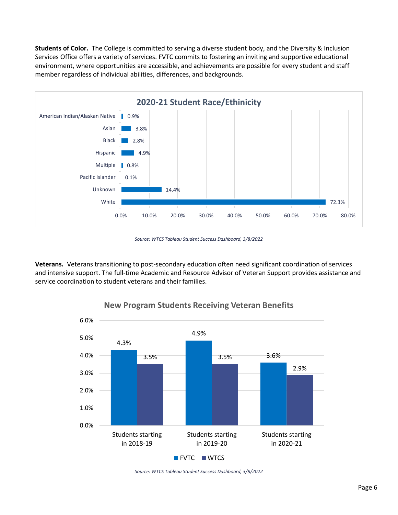**Students of Color.** The College is committed to serving a diverse student body, and the Diversity & Inclusion Services Office offers a variety of services. FVTC commits to fostering an inviting and supportive educational environment, where opportunities are accessible, and achievements are possible for every student and staff member regardless of individual abilities, differences, and backgrounds.



*Source: WTCS Tableau Student Success Dashboard, 3/8/2022*

**Veterans.** Veterans transitioning to post-secondary education often need significant coordination of services and intensive support. The full-time Academic and Resource Advisor of Veteran Support provides assistance and service coordination to student veterans and their families.



### **New Program Students Receiving Veteran Benefits**

*Source: WTCS Tableau Student Success Dashboard, 3/8/2022*